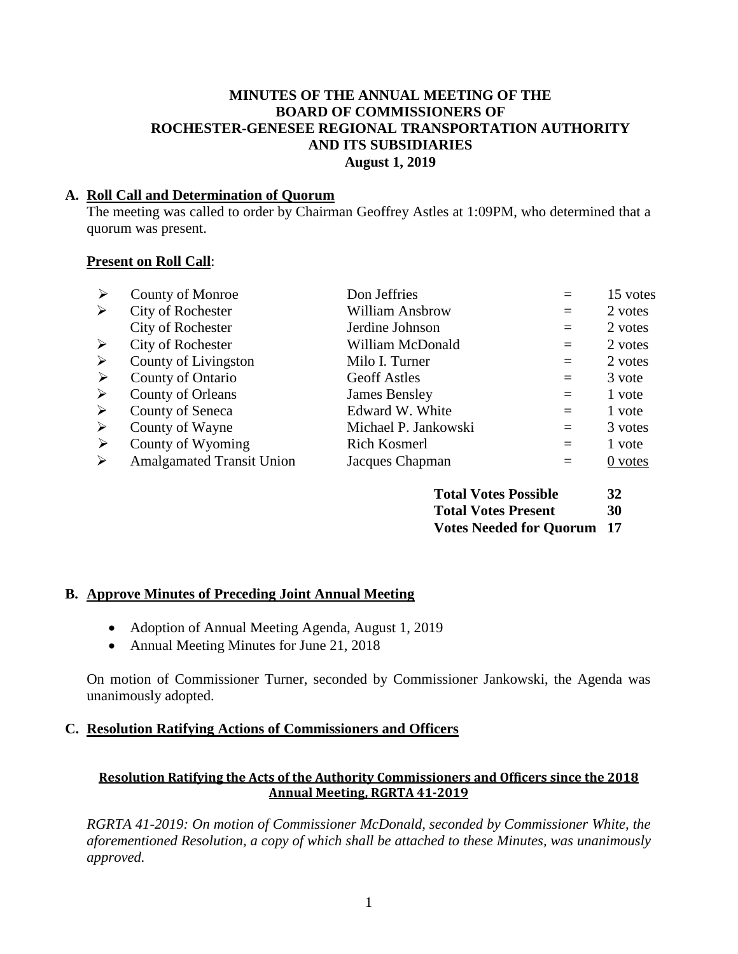#### **MINUTES OF THE ANNUAL MEETING OF THE BOARD OF COMMISSIONERS OF ROCHESTER-GENESEE REGIONAL TRANSPORTATION AUTHORITY AND ITS SUBSIDIARIES August 1, 2019**

### **A. Roll Call and Determination of Quorum**

The meeting was called to order by Chairman Geoffrey Astles at 1:09PM, who determined that a quorum was present.

### **Present on Roll Call**:

| ➤                     | <b>County of Monroe</b>          | Don Jeffries           |     | 15 votes |
|-----------------------|----------------------------------|------------------------|-----|----------|
| ➤                     | City of Rochester                | <b>William Ansbrow</b> | $=$ | 2 votes  |
|                       | <b>City of Rochester</b>         | Jerdine Johnson        | $=$ | 2 votes  |
| ➤                     | City of Rochester                | William McDonald       | $=$ | 2 votes  |
| $\blacktriangleright$ | County of Livingston             | Milo I. Turner         | $=$ | 2 votes  |
| ➤                     | County of Ontario                | <b>Geoff Astles</b>    | $=$ | 3 vote   |
| ➤                     | County of Orleans                | <b>James Bensley</b>   | $=$ | 1 vote   |
| ➤                     | County of Seneca                 | Edward W. White        | $=$ | 1 vote   |
| ➤                     | County of Wayne                  | Michael P. Jankowski   | $=$ | 3 votes  |
| ➤                     | County of Wyoming                | <b>Rich Kosmerl</b>    | $=$ | 1 vote   |
| ゝ                     | <b>Amalgamated Transit Union</b> | Jacques Chapman        | $=$ | 0 votes  |
|                       |                                  |                        |     |          |

| <b>Total Votes Possible</b>       | <b>32</b> |
|-----------------------------------|-----------|
| <b>Total Votes Present</b>        | 30        |
| <b>Votes Needed for Quorum 17</b> |           |

#### **B. Approve Minutes of Preceding Joint Annual Meeting**

- Adoption of Annual Meeting Agenda, August 1, 2019
- Annual Meeting Minutes for June 21, 2018

On motion of Commissioner Turner, seconded by Commissioner Jankowski, the Agenda was unanimously adopted.

#### **C. Resolution Ratifying Actions of Commissioners and Officers**

### **Resolution Ratifying the Acts of the Authority Commissioners and Officers since the 2018 Annual Meeting, RGRTA 41-2019**

*RGRTA 41-2019: On motion of Commissioner McDonald, seconded by Commissioner White, the aforementioned Resolution, a copy of which shall be attached to these Minutes, was unanimously approved.*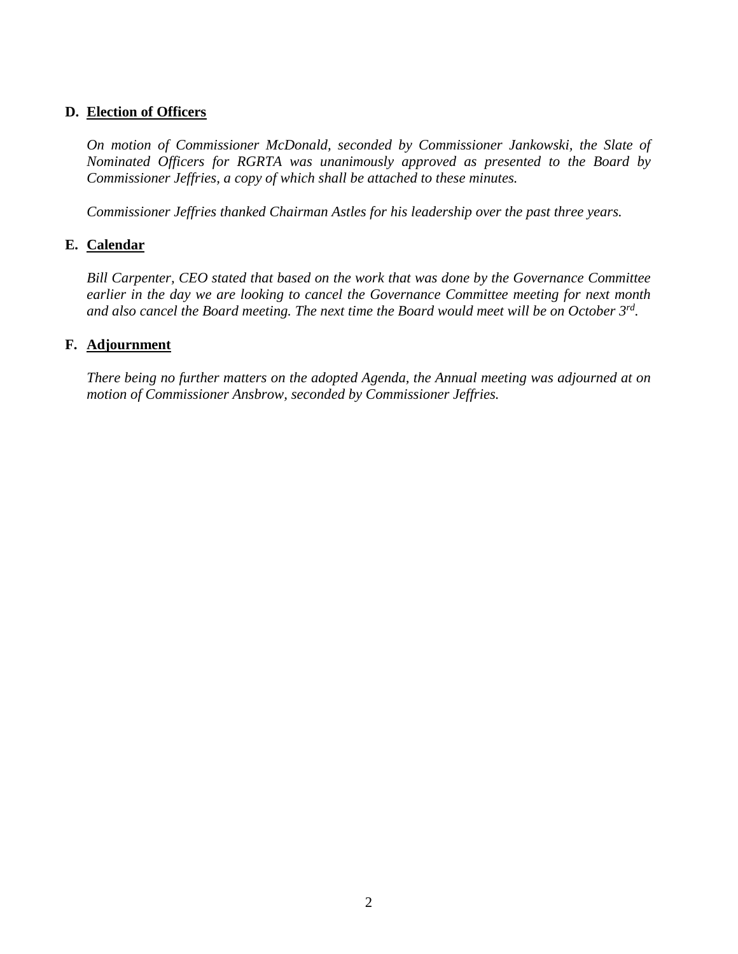### **D. Election of Officers**

*On motion of Commissioner McDonald, seconded by Commissioner Jankowski, the Slate of Nominated Officers for RGRTA was unanimously approved as presented to the Board by Commissioner Jeffries, a copy of which shall be attached to these minutes.* 

*Commissioner Jeffries thanked Chairman Astles for his leadership over the past three years.* 

#### **E. Calendar**

*Bill Carpenter, CEO stated that based on the work that was done by the Governance Committee earlier in the day we are looking to cancel the Governance Committee meeting for next month and also cancel the Board meeting. The next time the Board would meet will be on October 3rd .* 

#### **F. Adjournment**

*There being no further matters on the adopted Agenda, the Annual meeting was adjourned at on motion of Commissioner Ansbrow, seconded by Commissioner Jeffries.*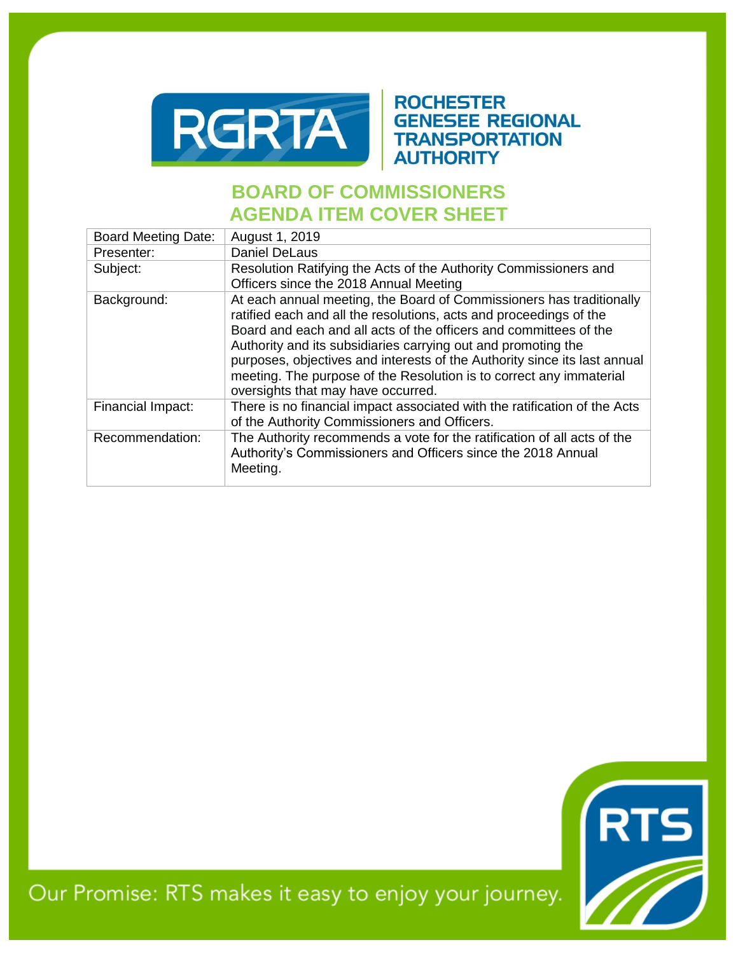

# **ROCHESTER GENESEE REGIONAL TRANSPORTATION AUTHORITY**

# **BOARD OF COMMISSIONERS AGENDA ITEM COVER SHEET**

| <b>Board Meeting Date:</b> | August 1, 2019                                                                                                                                                                                                                                                                                                                                                                                                                                                             |
|----------------------------|----------------------------------------------------------------------------------------------------------------------------------------------------------------------------------------------------------------------------------------------------------------------------------------------------------------------------------------------------------------------------------------------------------------------------------------------------------------------------|
| Presenter:                 | <b>Daniel DeLaus</b>                                                                                                                                                                                                                                                                                                                                                                                                                                                       |
| Subject:                   | Resolution Ratifying the Acts of the Authority Commissioners and<br>Officers since the 2018 Annual Meeting                                                                                                                                                                                                                                                                                                                                                                 |
| Background:                | At each annual meeting, the Board of Commissioners has traditionally<br>ratified each and all the resolutions, acts and proceedings of the<br>Board and each and all acts of the officers and committees of the<br>Authority and its subsidiaries carrying out and promoting the<br>purposes, objectives and interests of the Authority since its last annual<br>meeting. The purpose of the Resolution is to correct any immaterial<br>oversights that may have occurred. |
| Financial Impact:          | There is no financial impact associated with the ratification of the Acts<br>of the Authority Commissioners and Officers.                                                                                                                                                                                                                                                                                                                                                  |
| Recommendation:            | The Authority recommends a vote for the ratification of all acts of the<br>Authority's Commissioners and Officers since the 2018 Annual<br>Meeting.                                                                                                                                                                                                                                                                                                                        |



Our Promise: RTS makes it easy to enjoy your journey.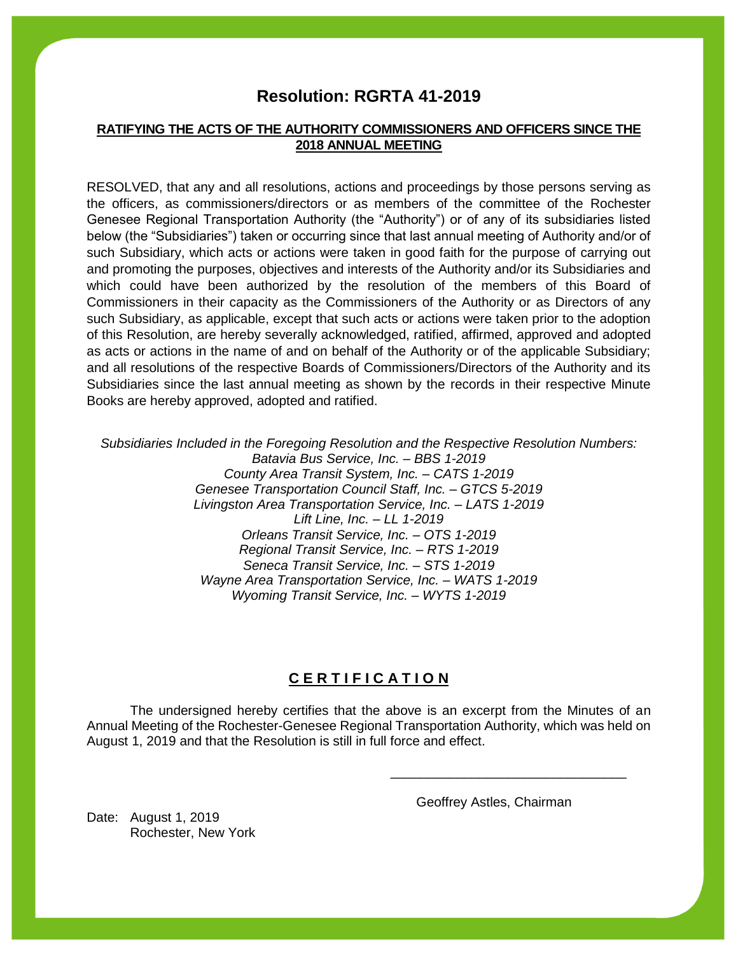# **Resolution: RGRTA 41-2019**

#### **RATIFYING THE ACTS OF THE AUTHORITY COMMISSIONERS AND OFFICERS SINCE THE 2018 ANNUAL MEETING**

RESOLVED, that any and all resolutions, actions and proceedings by those persons serving as the officers, as commissioners/directors or as members of the committee of the Rochester Genesee Regional Transportation Authority (the "Authority") or of any of its subsidiaries listed below (the "Subsidiaries") taken or occurring since that last annual meeting of Authority and/or of such Subsidiary, which acts or actions were taken in good faith for the purpose of carrying out and promoting the purposes, objectives and interests of the Authority and/or its Subsidiaries and which could have been authorized by the resolution of the members of this Board of Commissioners in their capacity as the Commissioners of the Authority or as Directors of any such Subsidiary, as applicable, except that such acts or actions were taken prior to the adoption of this Resolution, are hereby severally acknowledged, ratified, affirmed, approved and adopted as acts or actions in the name of and on behalf of the Authority or of the applicable Subsidiary; and all resolutions of the respective Boards of Commissioners/Directors of the Authority and its Subsidiaries since the last annual meeting as shown by the records in their respective Minute Books are hereby approved, adopted and ratified.

*Subsidiaries Included in the Foregoing Resolution and the Respective Resolution Numbers: Batavia Bus Service, Inc. – BBS 1-2019 County Area Transit System, Inc. – CATS 1-2019 Genesee Transportation Council Staff, Inc. – GTCS 5-2019 Livingston Area Transportation Service, Inc. – LATS 1-2019 Lift Line, Inc. – LL 1-2019 Orleans Transit Service, Inc. – OTS 1-2019 Regional Transit Service, Inc. – RTS 1-2019 Seneca Transit Service, Inc. – STS 1-2019 Wayne Area Transportation Service, Inc. – WATS 1-2019 Wyoming Transit Service, Inc. – WYTS 1-2019*

### **C E R T I F I C A T I O N**

The undersigned hereby certifies that the above is an excerpt from the Minutes of an Annual Meeting of the Rochester-Genesee Regional Transportation Authority, which was held on August 1, 2019 and that the Resolution is still in full force and effect.

Geoffrey Astles, Chairman

\_\_\_\_\_\_\_\_\_\_\_\_\_\_\_\_\_\_\_\_\_\_\_\_\_\_\_\_\_\_\_\_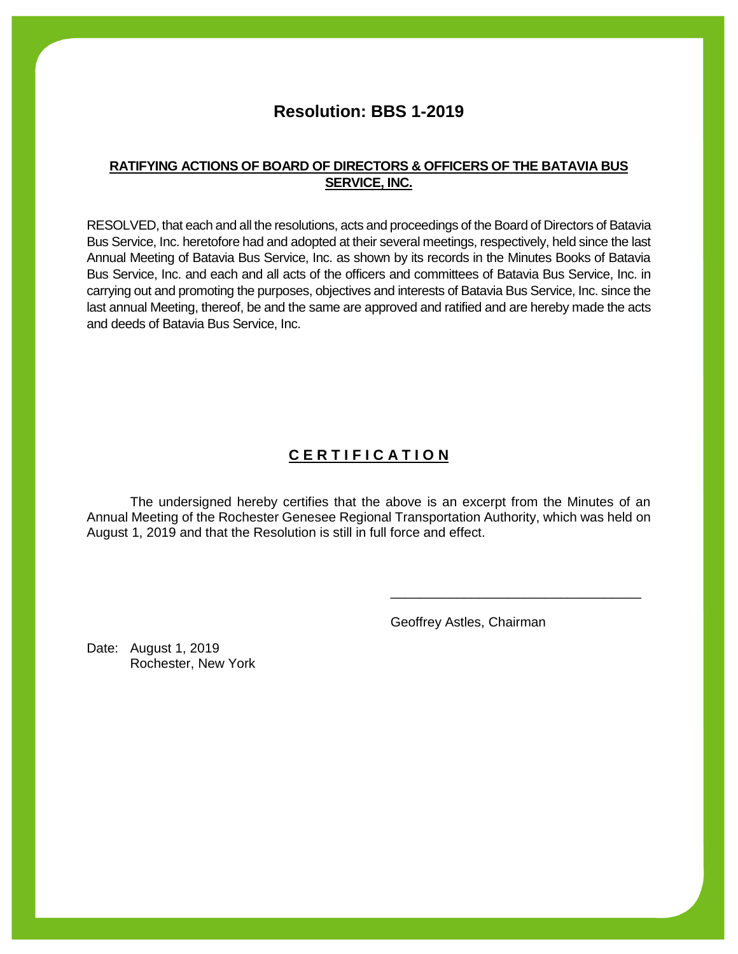# **Resolution: BBS 1-2019**

#### **RATIFYING ACTIONS OF BOARD OF DIRECTORS & OFFICERS OF THE BATAVIA BUS SERVICE, INC.**

RESOLVED, that each and all the resolutions, acts and proceedings of the Board of Directors of Batavia Bus Service, Inc. heretofore had and adopted at their several meetings, respectively, held since the last Annual Meeting of Batavia Bus Service, Inc. as shown by its records in the Minutes Books of Batavia Bus Service, Inc. and each and all acts of the officers and committees of Batavia Bus Service, Inc. in carrying out and promoting the purposes, objectives and interests of Batavia Bus Service, Inc. since the last annual Meeting, thereof, be and the same are approved and ratified and are hereby made the acts and deeds of Batavia Bus Service, Inc.

# **C E R T I F I C A T I O N**

The undersigned hereby certifies that the above is an excerpt from the Minutes of an Annual Meeting of the Rochester Genesee Regional Transportation Authority, which was held on August 1, 2019 and that the Resolution is still in full force and effect.

Geoffrey Astles, Chairman

\_\_\_\_\_\_\_\_\_\_\_\_\_\_\_\_\_\_\_\_\_\_\_\_\_\_\_\_\_\_\_\_\_\_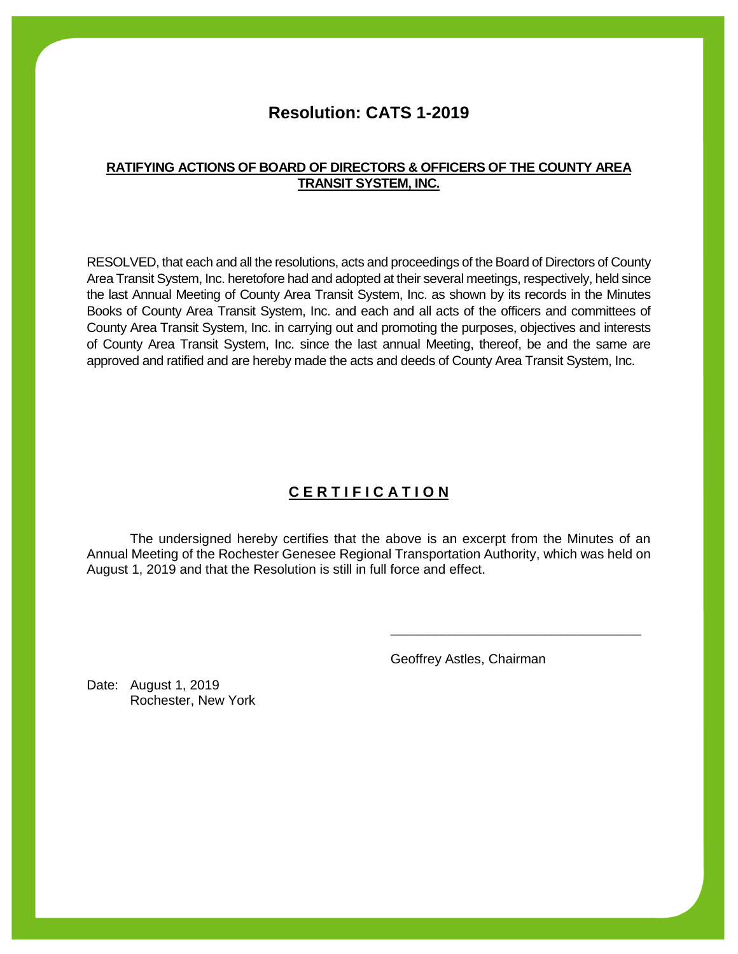# **Resolution: CATS 1-2019**

#### **RATIFYING ACTIONS OF BOARD OF DIRECTORS & OFFICERS OF THE COUNTY AREA TRANSIT SYSTEM, INC.**

RESOLVED, that each and all the resolutions, acts and proceedings of the Board of Directors of County Area Transit System, Inc. heretofore had and adopted at their several meetings, respectively, held since the last Annual Meeting of County Area Transit System, Inc. as shown by its records in the Minutes Books of County Area Transit System, Inc. and each and all acts of the officers and committees of County Area Transit System, Inc. in carrying out and promoting the purposes, objectives and interests of County Area Transit System, Inc. since the last annual Meeting, thereof, be and the same are approved and ratified and are hereby made the acts and deeds of County Area Transit System, Inc.

# **C E R T I F I C A T I O N**

The undersigned hereby certifies that the above is an excerpt from the Minutes of an Annual Meeting of the Rochester Genesee Regional Transportation Authority, which was held on August 1, 2019 and that the Resolution is still in full force and effect.

Geoffrey Astles, Chairman

\_\_\_\_\_\_\_\_\_\_\_\_\_\_\_\_\_\_\_\_\_\_\_\_\_\_\_\_\_\_\_\_\_\_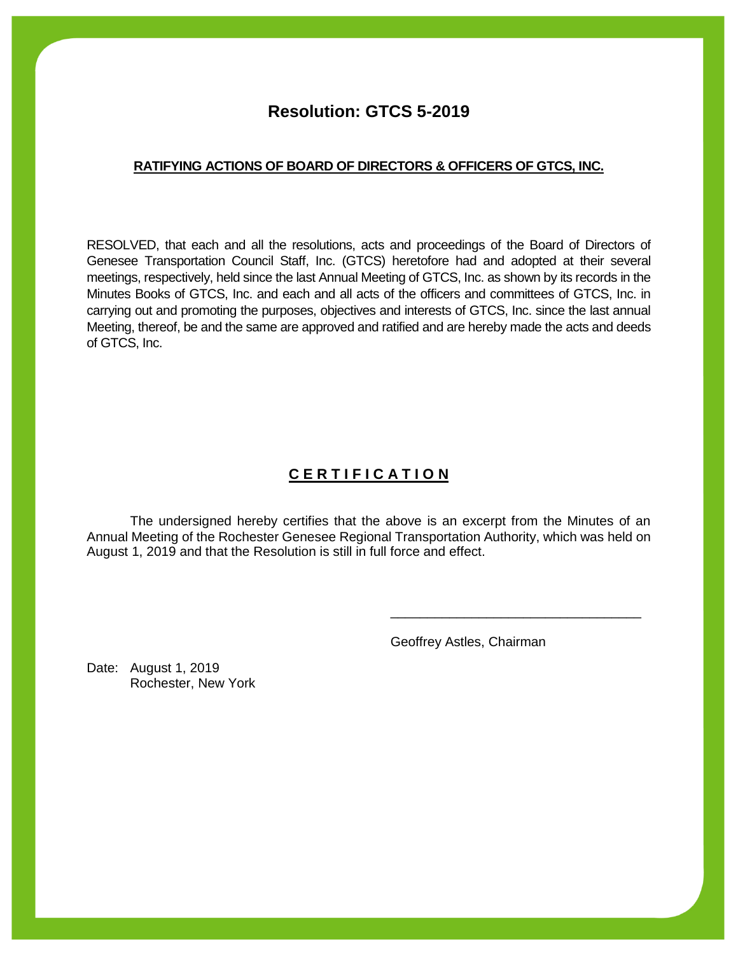# **Resolution: GTCS 5-2019**

#### **RATIFYING ACTIONS OF BOARD OF DIRECTORS & OFFICERS OF GTCS, INC.**

RESOLVED, that each and all the resolutions, acts and proceedings of the Board of Directors of Genesee Transportation Council Staff, Inc. (GTCS) heretofore had and adopted at their several meetings, respectively, held since the last Annual Meeting of GTCS, Inc. as shown by its records in the Minutes Books of GTCS, Inc. and each and all acts of the officers and committees of GTCS, Inc. in carrying out and promoting the purposes, objectives and interests of GTCS, Inc. since the last annual Meeting, thereof, be and the same are approved and ratified and are hereby made the acts and deeds of GTCS, Inc.

# **C E R T I F I C A T I O N**

The undersigned hereby certifies that the above is an excerpt from the Minutes of an Annual Meeting of the Rochester Genesee Regional Transportation Authority, which was held on August 1, 2019 and that the Resolution is still in full force and effect.

Geoffrey Astles, Chairman

\_\_\_\_\_\_\_\_\_\_\_\_\_\_\_\_\_\_\_\_\_\_\_\_\_\_\_\_\_\_\_\_\_\_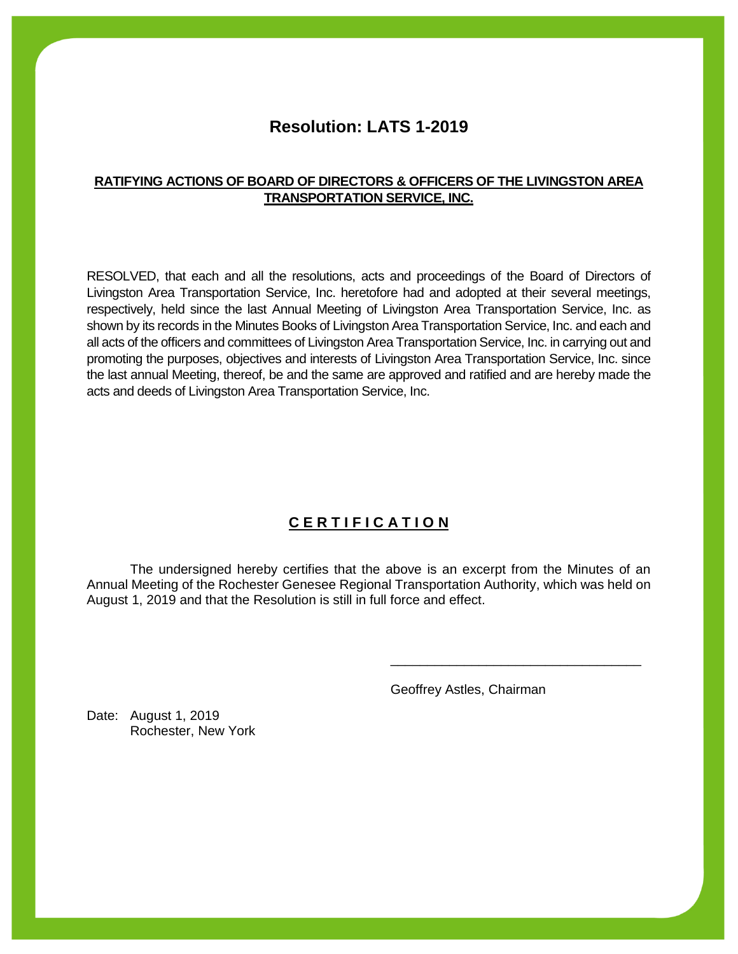# **Resolution: LATS 1-2019**

#### **RATIFYING ACTIONS OF BOARD OF DIRECTORS & OFFICERS OF THE LIVINGSTON AREA TRANSPORTATION SERVICE, INC.**

RESOLVED, that each and all the resolutions, acts and proceedings of the Board of Directors of Livingston Area Transportation Service, Inc. heretofore had and adopted at their several meetings, respectively, held since the last Annual Meeting of Livingston Area Transportation Service, Inc. as shown by its records in the Minutes Books of Livingston Area Transportation Service, Inc. and each and all acts of the officers and committees of Livingston Area Transportation Service, Inc. in carrying out and promoting the purposes, objectives and interests of Livingston Area Transportation Service, Inc. since the last annual Meeting, thereof, be and the same are approved and ratified and are hereby made the acts and deeds of Livingston Area Transportation Service, Inc.

# **C E R T I F I C A T I O N**

The undersigned hereby certifies that the above is an excerpt from the Minutes of an Annual Meeting of the Rochester Genesee Regional Transportation Authority, which was held on August 1, 2019 and that the Resolution is still in full force and effect.

Geoffrey Astles, Chairman

\_\_\_\_\_\_\_\_\_\_\_\_\_\_\_\_\_\_\_\_\_\_\_\_\_\_\_\_\_\_\_\_\_\_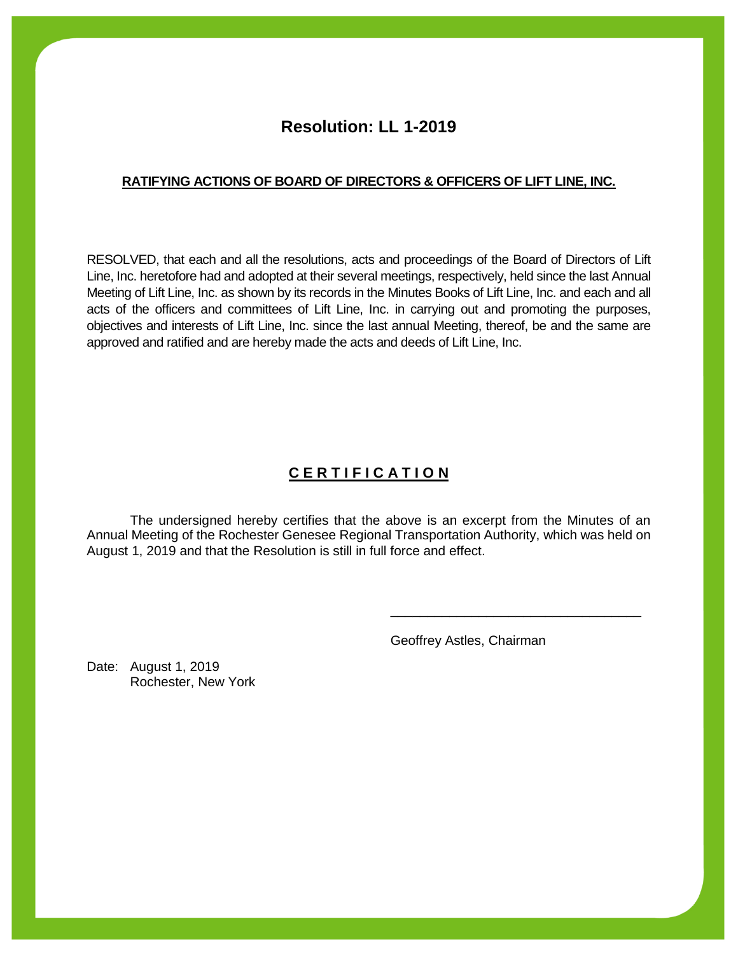# **Resolution: LL 1-2019**

#### **RATIFYING ACTIONS OF BOARD OF DIRECTORS & OFFICERS OF LIFT LINE, INC.**

RESOLVED, that each and all the resolutions, acts and proceedings of the Board of Directors of Lift Line, Inc. heretofore had and adopted at their several meetings, respectively, held since the last Annual Meeting of Lift Line, Inc. as shown by its records in the Minutes Books of Lift Line, Inc. and each and all acts of the officers and committees of Lift Line, Inc. in carrying out and promoting the purposes, objectives and interests of Lift Line, Inc. since the last annual Meeting, thereof, be and the same are approved and ratified and are hereby made the acts and deeds of Lift Line, Inc.

# **C E R T I F I C A T I O N**

The undersigned hereby certifies that the above is an excerpt from the Minutes of an Annual Meeting of the Rochester Genesee Regional Transportation Authority, which was held on August 1, 2019 and that the Resolution is still in full force and effect.

Geoffrey Astles, Chairman

\_\_\_\_\_\_\_\_\_\_\_\_\_\_\_\_\_\_\_\_\_\_\_\_\_\_\_\_\_\_\_\_\_\_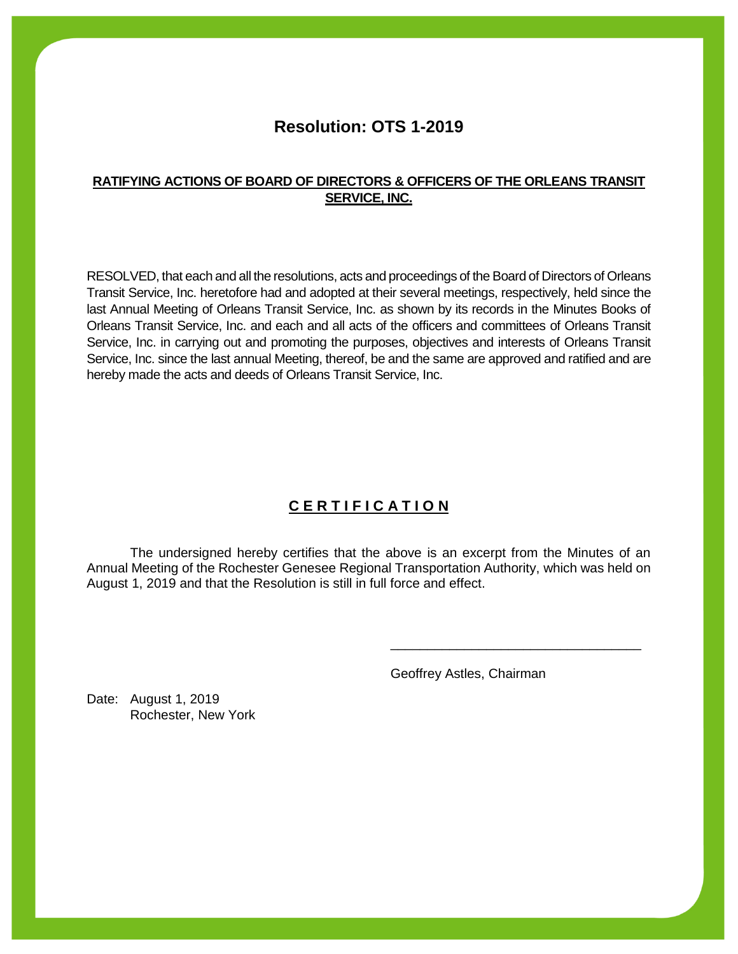# **Resolution: OTS 1-2019**

#### **RATIFYING ACTIONS OF BOARD OF DIRECTORS & OFFICERS OF THE ORLEANS TRANSIT SERVICE, INC.**

RESOLVED, that each and all the resolutions, acts and proceedings of the Board of Directors of Orleans Transit Service, Inc. heretofore had and adopted at their several meetings, respectively, held since the last Annual Meeting of Orleans Transit Service, Inc. as shown by its records in the Minutes Books of Orleans Transit Service, Inc. and each and all acts of the officers and committees of Orleans Transit Service, Inc. in carrying out and promoting the purposes, objectives and interests of Orleans Transit Service, Inc. since the last annual Meeting, thereof, be and the same are approved and ratified and are hereby made the acts and deeds of Orleans Transit Service, Inc.

# **C E R T I F I C A T I O N**

The undersigned hereby certifies that the above is an excerpt from the Minutes of an Annual Meeting of the Rochester Genesee Regional Transportation Authority, which was held on August 1, 2019 and that the Resolution is still in full force and effect.

Geoffrey Astles, Chairman

\_\_\_\_\_\_\_\_\_\_\_\_\_\_\_\_\_\_\_\_\_\_\_\_\_\_\_\_\_\_\_\_\_\_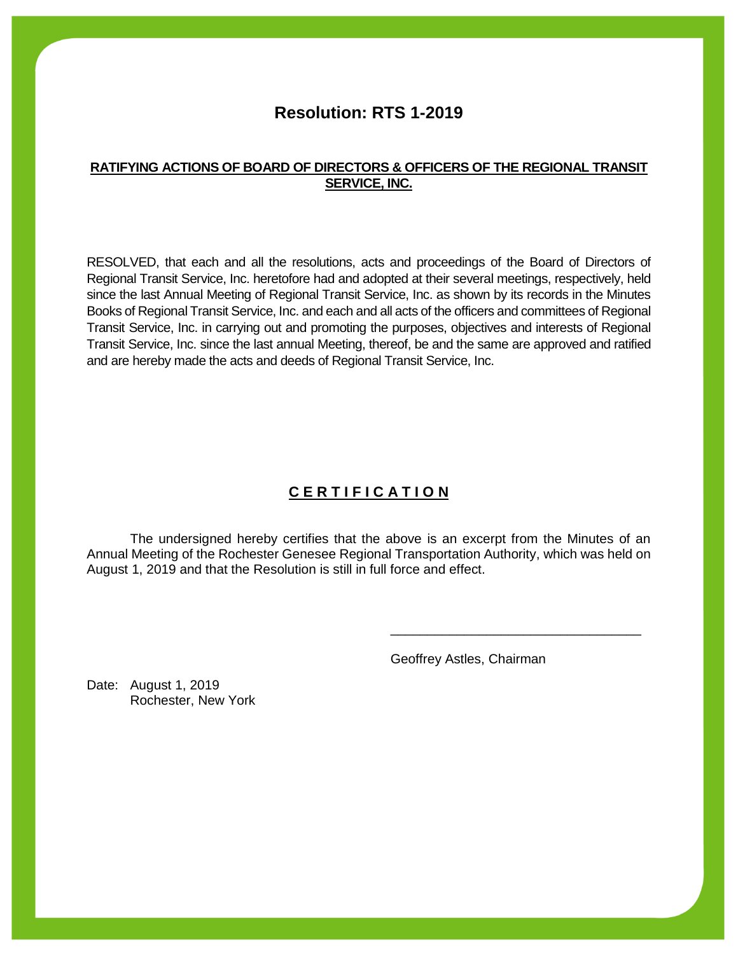# **Resolution: RTS 1-2019**

### **RATIFYING ACTIONS OF BOARD OF DIRECTORS & OFFICERS OF THE REGIONAL TRANSIT SERVICE, INC.**

RESOLVED, that each and all the resolutions, acts and proceedings of the Board of Directors of Regional Transit Service, Inc. heretofore had and adopted at their several meetings, respectively, held since the last Annual Meeting of Regional Transit Service, Inc. as shown by its records in the Minutes Books of Regional Transit Service, Inc. and each and all acts of the officers and committees of Regional Transit Service, Inc. in carrying out and promoting the purposes, objectives and interests of Regional Transit Service, Inc. since the last annual Meeting, thereof, be and the same are approved and ratified and are hereby made the acts and deeds of Regional Transit Service, Inc.

# **C E R T I F I C A T I O N**

The undersigned hereby certifies that the above is an excerpt from the Minutes of an Annual Meeting of the Rochester Genesee Regional Transportation Authority, which was held on August 1, 2019 and that the Resolution is still in full force and effect.

Geoffrey Astles, Chairman

\_\_\_\_\_\_\_\_\_\_\_\_\_\_\_\_\_\_\_\_\_\_\_\_\_\_\_\_\_\_\_\_\_\_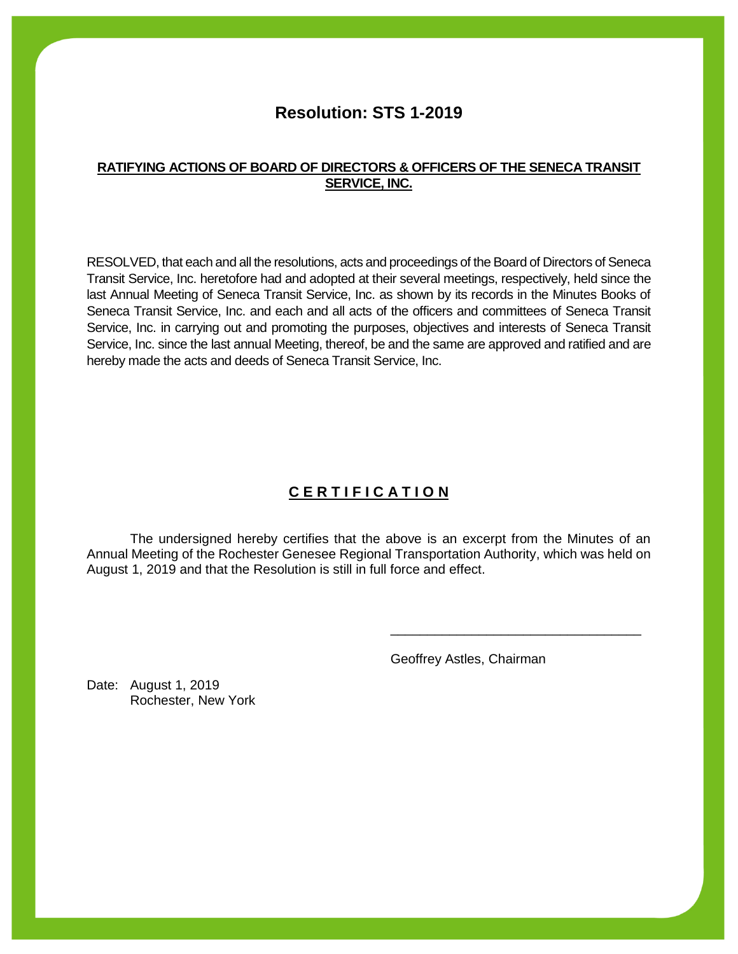# **Resolution: STS 1-2019**

### **RATIFYING ACTIONS OF BOARD OF DIRECTORS & OFFICERS OF THE SENECA TRANSIT SERVICE, INC.**

RESOLVED, that each and all the resolutions, acts and proceedings of the Board of Directors of Seneca Transit Service, Inc. heretofore had and adopted at their several meetings, respectively, held since the last Annual Meeting of Seneca Transit Service, Inc. as shown by its records in the Minutes Books of Seneca Transit Service, Inc. and each and all acts of the officers and committees of Seneca Transit Service, Inc. in carrying out and promoting the purposes, objectives and interests of Seneca Transit Service, Inc. since the last annual Meeting, thereof, be and the same are approved and ratified and are hereby made the acts and deeds of Seneca Transit Service, Inc.

# **C E R T I F I C A T I O N**

The undersigned hereby certifies that the above is an excerpt from the Minutes of an Annual Meeting of the Rochester Genesee Regional Transportation Authority, which was held on August 1, 2019 and that the Resolution is still in full force and effect.

Geoffrey Astles, Chairman

\_\_\_\_\_\_\_\_\_\_\_\_\_\_\_\_\_\_\_\_\_\_\_\_\_\_\_\_\_\_\_\_\_\_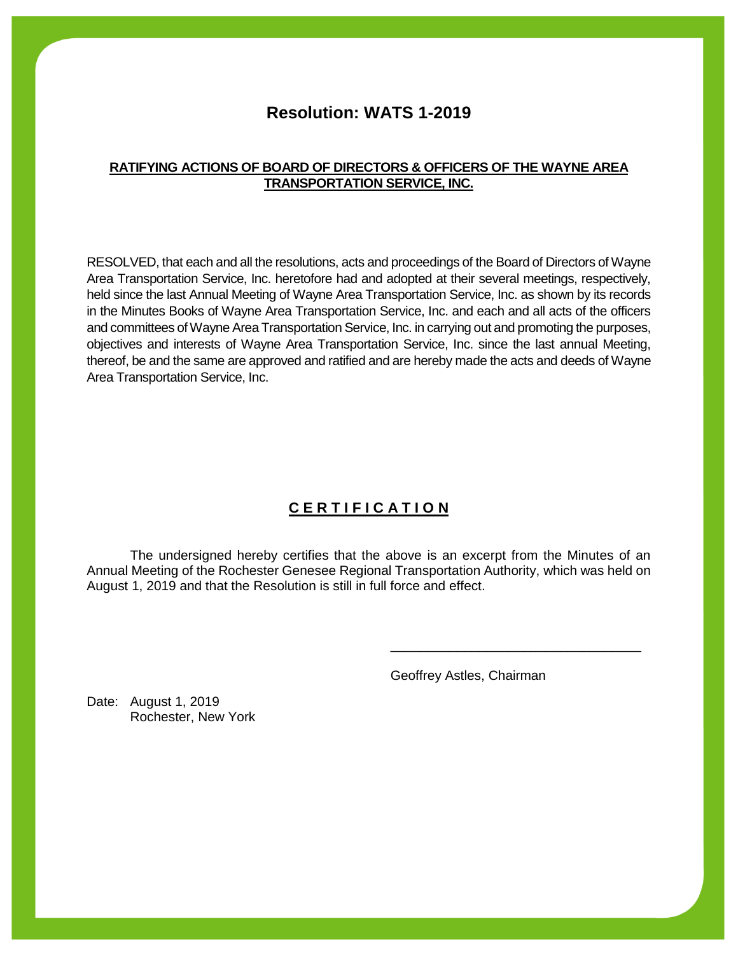# **Resolution: WATS 1-2019**

#### **RATIFYING ACTIONS OF BOARD OF DIRECTORS & OFFICERS OF THE WAYNE AREA TRANSPORTATION SERVICE, INC.**

RESOLVED, that each and all the resolutions, acts and proceedings of the Board of Directors of Wayne Area Transportation Service, Inc. heretofore had and adopted at their several meetings, respectively, held since the last Annual Meeting of Wayne Area Transportation Service, Inc. as shown by its records in the Minutes Books of Wayne Area Transportation Service, Inc. and each and all acts of the officers and committees of Wayne Area Transportation Service, Inc. in carrying out and promoting the purposes, objectives and interests of Wayne Area Transportation Service, Inc. since the last annual Meeting, thereof, be and the same are approved and ratified and are hereby made the acts and deeds of Wayne Area Transportation Service, Inc.

# **C E R T I F I C A T I O N**

The undersigned hereby certifies that the above is an excerpt from the Minutes of an Annual Meeting of the Rochester Genesee Regional Transportation Authority, which was held on August 1, 2019 and that the Resolution is still in full force and effect.

Geoffrey Astles, Chairman

\_\_\_\_\_\_\_\_\_\_\_\_\_\_\_\_\_\_\_\_\_\_\_\_\_\_\_\_\_\_\_\_\_\_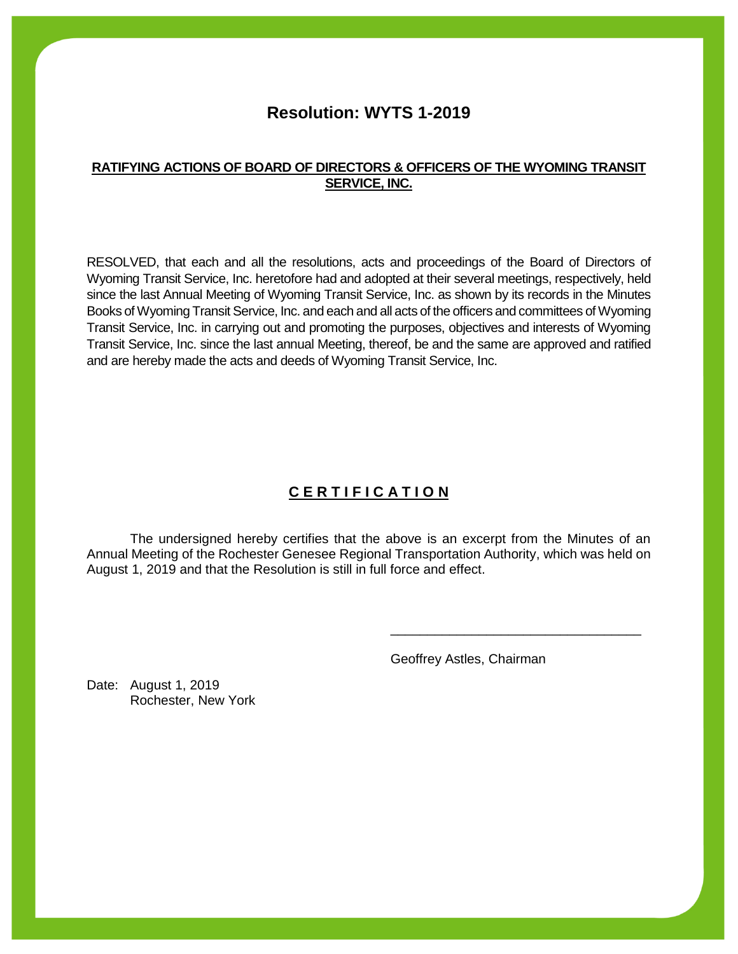# **Resolution: WYTS 1-2019**

### **RATIFYING ACTIONS OF BOARD OF DIRECTORS & OFFICERS OF THE WYOMING TRANSIT SERVICE, INC.**

RESOLVED, that each and all the resolutions, acts and proceedings of the Board of Directors of Wyoming Transit Service, Inc. heretofore had and adopted at their several meetings, respectively, held since the last Annual Meeting of Wyoming Transit Service, Inc. as shown by its records in the Minutes Books of Wyoming Transit Service, Inc. and each and all acts of the officers and committees of Wyoming Transit Service, Inc. in carrying out and promoting the purposes, objectives and interests of Wyoming Transit Service, Inc. since the last annual Meeting, thereof, be and the same are approved and ratified and are hereby made the acts and deeds of Wyoming Transit Service, Inc.

# **C E R T I F I C A T I O N**

The undersigned hereby certifies that the above is an excerpt from the Minutes of an Annual Meeting of the Rochester Genesee Regional Transportation Authority, which was held on August 1, 2019 and that the Resolution is still in full force and effect.

Geoffrey Astles, Chairman

\_\_\_\_\_\_\_\_\_\_\_\_\_\_\_\_\_\_\_\_\_\_\_\_\_\_\_\_\_\_\_\_\_\_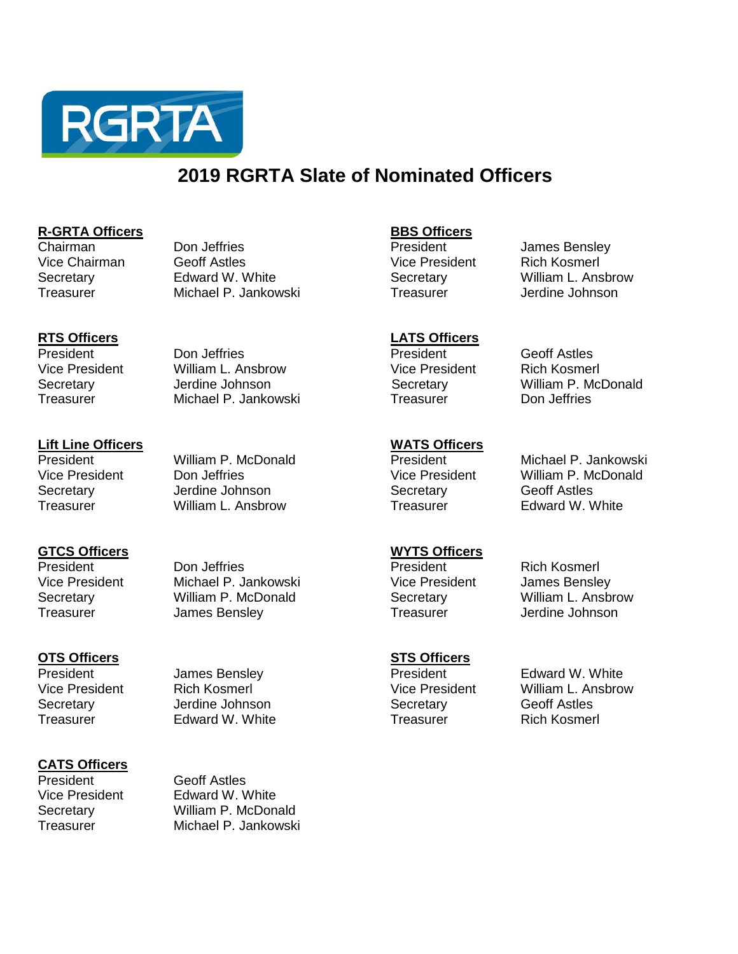

# **2019 RGRTA Slate of Nominated Officers**

**R-GRTA Officers BBS Officers** Vice Chairman Geoff Astles Vice President Rich Kosmerl Secretary **Secretary** Edward W. White Secretary Secretary William L. Ansbrow Treasurer Michael P. Jankowski Treasurer Jerdine Johnson

President **Don Jeffries** Don Terresident Geoff Astles<br>
Vice President William L. Ansbrow Vice President Rich Kosmerl Vice President William L. Ansbrow Secretary **Secretary** Jerdine Johnson **Secretary** Secretary William P. McDonald Treasurer Michael P. Jankowski Treasurer Don Jeffries

### **CATS Officers**

President Geoff Astles Vice President Edward W. White Secretary William P. McDonald Treasurer Michael P. Jankowski

Secretary Jerdine Johnson Secretary Geoff Astles Treasurer Edward W. White Treasurer Rich Kosmerl

**RTS Officers LATS Officers** 

President **State James Bensley Communist Communist President** Edward W. White Vice President Rich Kosmerl Vice President William L. Ansbrow

**Lift Line Officers WATS Officers**  Secretary **Secretary** Jerdine Johnson **Secretary** Geoff Astles

# Treasurer William L. Ansbrow Treasurer Edward W. White

Michael P. Jankowski Vice President Don Jeffries Vice President William P. McDonald

James Bensley

**GTCS Officers WYTS Officers** President **Don Jeffries Don Settings President** Rich Kosmerl

Vice President Michael P. Jankowski vice President James Bensley<br>
Secretary Christen William P. McDonald Christener Secretary William L. Ansbrow Secretary William P. McDonald Secretary Treasurer James Bensley Treasurer Jerdine Johnson

**OTS Officers STS Officers**